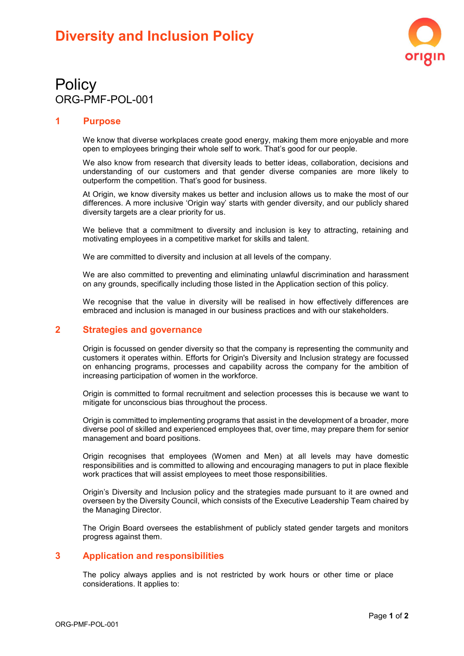

# **Policy** ORG-PMF-POL-001

### 1 Purpose

We know that diverse workplaces create good energy, making them more enjoyable and more open to employees bringing their whole self to work. That's good for our people.

We also know from research that diversity leads to better ideas, collaboration, decisions and understanding of our customers and that gender diverse companies are more likely to outperform the competition. That's good for business.

At Origin, we know diversity makes us better and inclusion allows us to make the most of our differences. A more inclusive 'Origin way' starts with gender diversity, and our publicly shared diversity targets are a clear priority for us.

We believe that a commitment to diversity and inclusion is key to attracting, retaining and motivating employees in a competitive market for skills and talent.

We are committed to diversity and inclusion at all levels of the company.

We are also committed to preventing and eliminating unlawful discrimination and harassment on any grounds, specifically including those listed in the Application section of this policy.

We recognise that the value in diversity will be realised in how effectively differences are embraced and inclusion is managed in our business practices and with our stakeholders.

#### 2 Strategies and governance

Origin is focussed on gender diversity so that the company is representing the community and customers it operates within. Efforts for Origin's Diversity and Inclusion strategy are focussed on enhancing programs, processes and capability across the company for the ambition of increasing participation of women in the workforce.

Origin is committed to formal recruitment and selection processes this is because we want to mitigate for unconscious bias throughout the process.

Origin is committed to implementing programs that assist in the development of a broader, more diverse pool of skilled and experienced employees that, over time, may prepare them for senior management and board positions.

Origin recognises that employees (Women and Men) at all levels may have domestic responsibilities and is committed to allowing and encouraging managers to put in place flexible work practices that will assist employees to meet those responsibilities.

Origin's Diversity and Inclusion policy and the strategies made pursuant to it are owned and overseen by the Diversity Council, which consists of the Executive Leadership Team chaired by the Managing Director.

The Origin Board oversees the establishment of publicly stated gender targets and monitors progress against them.

#### 3 Application and responsibilities

The policy always applies and is not restricted by work hours or other time or place considerations. It applies to: